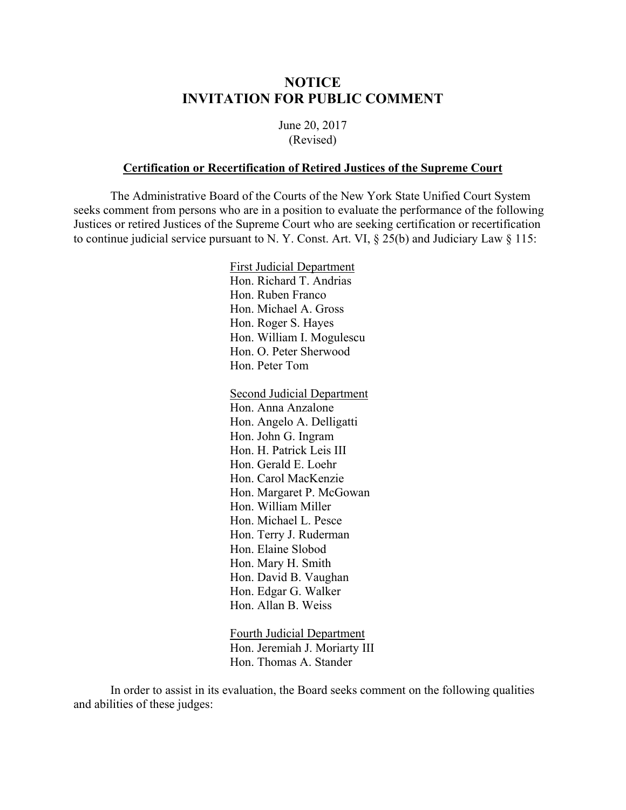## **NOTICE INVITATION FOR PUBLIC COMMENT**

June 20, 2017 (Revised)

## **Certification or Recertification of Retired Justices of the Supreme Court**

 The Administrative Board of the Courts of the New York State Unified Court System seeks comment from persons who are in a position to evaluate the performance of the following Justices or retired Justices of the Supreme Court who are seeking certification or recertification to continue judicial service pursuant to N. Y. Const. Art. VI, § 25(b) and Judiciary Law § 115:

> First Judicial Department Hon. Richard T. Andrias Hon. Ruben Franco Hon. Michael A. Gross Hon. Roger S. Hayes Hon. William I. Mogulescu Hon. O. Peter Sherwood Hon. Peter Tom

Second Judicial Department Hon. Anna Anzalone Hon. Angelo A. Delligatti Hon. John G. Ingram Hon. H. Patrick Leis III Hon. Gerald E. Loehr Hon. Carol MacKenzie Hon. Margaret P. McGowan Hon. William Miller Hon. Michael L. Pesce Hon. Terry J. Ruderman Hon. Elaine Slobod Hon. Mary H. Smith Hon. David B. Vaughan Hon. Edgar G. Walker Hon. Allan B. Weiss

Fourth Judicial Department Hon. Jeremiah J. Moriarty III Hon. Thomas A. Stander

 In order to assist in its evaluation, the Board seeks comment on the following qualities and abilities of these judges: